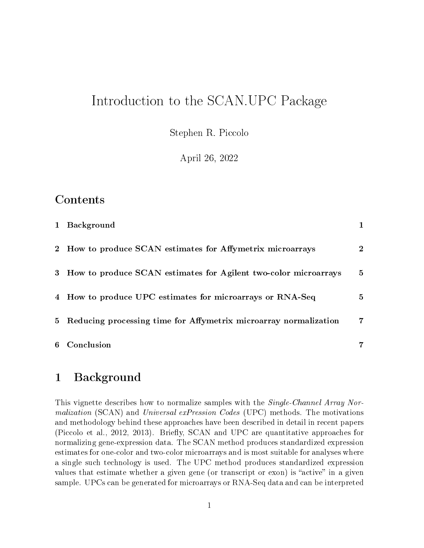# Introduction to the SCAN.UPC Package

Stephen R. Piccolo

April 26, 2022

### Contents

|                | 1 Background                                                      |                |
|----------------|-------------------------------------------------------------------|----------------|
| $2^{\circ}$    | How to produce SCAN estimates for Affymetrix microarrays          | $\overline{2}$ |
|                | 3 How to produce SCAN estimates for Agilent two-color microarrays | $5^{\circ}$    |
|                | 4 How to produce UPC estimates for microarrays or RNA-Seq         | $5^{\circ}$    |
| 5 <sub>5</sub> | Reducing processing time for Affymetrix microarray normalization  | 7              |
|                | 6 Conclusion                                                      |                |

### <span id="page-0-0"></span>1 Background

This vignette describes how to normalize samples with the *Single-Channel Array Normalization* (SCAN) and *Universal exPression Codes* (UPC) methods. The motivations and methodology behind these approaches have been described in detail in recent papers [\(Piccolo et al., 2012,](#page-6-2) [2013\)](#page-7-0). Briefly, SCAN and UPC are quantitative approaches for normalizing gene-expression data. The SCAN method produces standardized expression estimates for one-color and two-color microarrays and is most suitable for analyses where a single such technology is used. The UPC method produces standardized expression values that estimate whether a given gene (or transcript or exon) is "active" in a given sample. UPCs can be generated for microarrays or RNA-Seq data and can be interpreted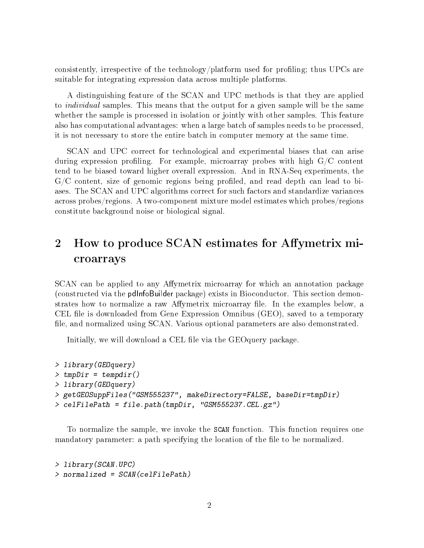consistently, irrespective of the technology/platform used for profiling; thus UPCs are suitable for integrating expression data across multiple platforms.

A distinguishing feature of the SCAN and UPC methods is that they are applied to *individual* samples. This means that the output for a given sample will be the same whether the sample is processed in isolation or jointly with other samples. This feature also has computational advantages: when a large batch of samples needs to be processed, it is not necessary to store the entire batch in computer memory at the same time.

SCAN and UPC correct for technological and experimental biases that can arise during expression profiling. For example, microarray probes with high  $G/C$  content tend to be biased toward higher overall expression. And in RNA-Seq experiments, the  $G/C$  content, size of genomic regions being profiled, and read depth can lead to biases. The SCAN and UPC algorithms correct for such factors and standardize variances across probes/regions. A two-component mixture model estimates which probes/regions constitute background noise or biological signal.

## <span id="page-1-0"></span>2 How to produce SCAN estimates for Affymetrix microarrays

SCAN can be applied to any Affymetrix microarray for which an annotation package (constructed via the pdInfoBuilder package) exists in Bioconductor. This section demonstrates how to normalize a raw Affymetrix microarray file. In the examples below, a CEL file is downloaded from Gene Expression Omnibus (GEO), saved to a temporary file, and normalized using SCAN. Various optional parameters are also demonstrated.

Initially, we will download a CEL file via the GEOquery package.

```
> library(GEOquery)
> tmpDir = tempdir()
> library(GEOquery)
> getGEOSuppFiles("GSM555237", makeDirectory=FALSE, baseDir=tmpDir)
> celFilePath = file.path(tmpDir, "GSM555237.CEL.gz")
```
To normalize the sample, we invoke the SCAN function. This function requires one mandatory parameter: a path specifying the location of the file to be normalized.

```
> library(SCAN.UPC)
> normalized = SCAN(celFilePath)
```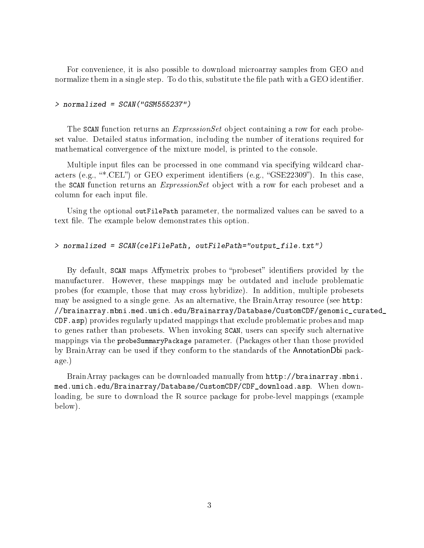For convenience, it is also possible to download microarray samples from GEO and normalize them in a single step. To do this, substitute the file path with a GEO identifier.

#### $>$  normalized = SCAN("GSM555237")

The SCAN function returns an *ExpressionSet* object containing a row for each probeset value. Detailed status information, including the number of iterations required for mathematical convergence of the mixture model, is printed to the console.

Multiple input files can be processed in one command via specifying wildcard characters (e.g., "\*.CEL") or GEO experiment identifiers (e.g., "GSE22309"). In this case, the SCAN function returns an *ExpressionSet* object with a row for each probeset and a column for each input file.

Using the optional outFilePath parameter, the normalized values can be saved to a text file. The example below demonstrates this option.

#### > normalized = SCAN(celFilePath, outFilePath="output\_file.txt")

By default, SCAN maps Affymetrix probes to "probeset" identifiers provided by the manufacturer. However, these mappings may be outdated and include problematic probes (for example, those that may cross hybridize). In addition, multiple probesets may be assigned to a single gene. As an alternative, the BrainArray resource (see [http:](http://brainarray.mbni.med.umich.edu/Brainarray/Database/CustomCDF/genomic_curated_CDF.asp) [//brainarray.mbni.med.umich.edu/Brainarray/Database/CustomCDF/genomic\\_cur](http://brainarray.mbni.med.umich.edu/Brainarray/Database/CustomCDF/genomic_curated_CDF.asp)ated\_ [CDF.asp\)](http://brainarray.mbni.med.umich.edu/Brainarray/Database/CustomCDF/genomic_curated_CDF.asp) provides regularly updated mappings that exclude problematic probes and map to genes rather than probesets. When invoking SCAN, users can specify such alternative mappings via the probeSummaryPackage parameter. (Packages other than those provided by BrainArray can be used if they conform to the standards of the AnnotationDbi package.)

BrainArray packages can be downloaded manually from [http://brainarray.mbni.](http://brainarray.mbni.med.umich.edu/Brainarray/Database/CustomCDF/CDF_download.asp) [med.umich.edu/Brainarray/Database/CustomCDF/CDF\\_download.asp.](http://brainarray.mbni.med.umich.edu/Brainarray/Database/CustomCDF/CDF_download.asp) When downloading, be sure to download the R source package for probe-level mappings (example below).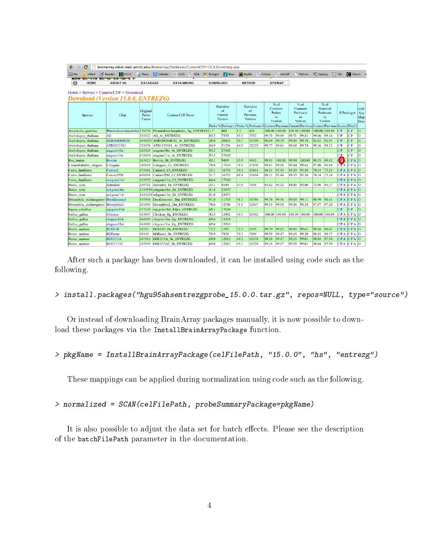| C<br>$\leftarrow$                          | brainarray.mbni.med.umich.edu/Brainarray/Database/CustomCDF/15.0.0/entrezq.asp |                            |                                    |                    |  |                                               |             |                                                |                                                                                                       |                                             |                  |                     |                              |               |               |            |                       |                |
|--------------------------------------------|--------------------------------------------------------------------------------|----------------------------|------------------------------------|--------------------|--|-----------------------------------------------|-------------|------------------------------------------------|-------------------------------------------------------------------------------------------------------|---------------------------------------------|------------------|---------------------|------------------------------|---------------|---------------|------------|-----------------------|----------------|
| $\Box$ Mv<br>O UMail<br>14.60              | Reader<br><b>DESC</b><br><b>THE REPORT OF STATISTICS</b>                       |                            | <b>E Docs</b> Scholar <b>C</b> GEO |                    |  | SRA Pg Pubget                                 | <b>Bioc</b> | <b>MVRA</b>                                    |                                                                                                       |                                             | 응 Entrez 응 dbSNP |                     | Python                       | Calaxy        |               |            | <b>SZ FSL C</b> Chron |                |
| HOME                                       | <b>ABOUT US</b>                                                                | <b>DATABASE</b>            |                                    | <b>DATA MINING</b> |  | <b>DOWNLOAD</b>                               |             |                                                | <b>METHOD</b>                                                                                         |                                             | <b>SITEMAP</b>   |                     |                              |               |               |            |                       |                |
|                                            |                                                                                |                            |                                    |                    |  |                                               |             |                                                |                                                                                                       |                                             |                  |                     |                              |               |               |            |                       |                |
| $Home > Service > Customer CDF > Download$ |                                                                                |                            |                                    |                    |  |                                               |             |                                                |                                                                                                       |                                             |                  |                     |                              |               |               |            |                       |                |
| Download (Version 15.0.0, ENTREZG)         |                                                                                |                            |                                    |                    |  |                                               |             |                                                |                                                                                                       |                                             |                  |                     |                              |               |               |            |                       |                |
|                                            |                                                                                | Original<br>Probe<br>Count | <b>Custom CDF Name</b>             |                    |  | <b>Statistics</b><br>of<br>Current<br>Version |             | <b>Statistics</b><br>of<br>Previous<br>Version |                                                                                                       | $%$ of<br>Common<br>Probes<br>in<br>Version |                  | $%$ of              |                              | $%$ of        |               |            |                       |                |
|                                            |                                                                                |                            |                                    |                    |  |                                               |             |                                                |                                                                                                       |                                             |                  | Common<br>Probesets | Identical<br>Probesets<br>in |               |               |            | CDF<br>Seq            |                |
| Species                                    | Chip                                                                           |                            |                                    |                    |  |                                               |             |                                                |                                                                                                       |                                             |                  | in                  |                              |               | R Packages    |            | Map                   |                |
|                                            |                                                                                |                            |                                    |                    |  |                                               |             |                                                |                                                                                                       |                                             |                  | Version             |                              | Version       |               |            | Desc                  |                |
|                                            |                                                                                |                            |                                    |                    |  |                                               |             |                                                | Probe % Probeset # Probe % Probeset # Current Previous Current Previous Current Previous Source Win32 |                                             |                  |                     |                              |               |               |            |                       |                |
| Anopheles_gambiae                          | PlasmodiumAnopheles 250758   PlasmodiumAnopheles Ag ENTREZG 1.7                |                            |                                    |                    |  |                                               | 408         | 1.7                                            | 408                                                                                                   | 100.00 100.00                               |                  | 100.00 100.00       |                              |               | 100.00 100.00 | C P        | C P                   | $\overline{O}$ |
| Arabidopsis thaliana                       | AG                                                                             | 131822                     | AG At ENTREZG                      |                    |  | 83.2                                          | 7359        | 83.1                                           | 7352                                                                                                  | 99.78                                       | 99.89            | 99.71               | 99.81                        | 99.06         | 99.16         | C P        | C P                   | O              |
| Arabidopsis thaliana                       | <b>AGRONOMICS1</b>                                                             |                            | 6046951 AGRONOMICS1 At ENTREZG     |                    |  | 20.0                                          | 30851       | 19.7                                           | 30749                                                                                                 | 98.69                                       | 99.79            | 99.45               | 99.78                        | 92.63         | 92.93         | C P        | C P                   | $\Omega$       |
| Arabidopsis thaliana                       | ATH1121501                                                                     | 251078                     | ATH1121501 At ENTREZG              |                    |  | 84.9                                          | 21236       | 84.9                                           | 21225                                                                                                 | 99.77                                       | 99.84            | 99.69               | 99.74                        | 99.16         | 99.21         | C P        | CР                    | O              |
| Arabidopsis thaliana                       | aragene10st                                                                    | 628424                     | aragene10st At ENTREZG             |                    |  | 93.3                                          | 27602       |                                                |                                                                                                       |                                             |                  |                     |                              |               |               | C P        | C P                   | $\Omega$       |
| Arabidopsis thaliana                       | aragenel 1st                                                                   | 628424                     | aragenel 1st At ENTREZG            |                    |  | 93.3                                          | 27602       |                                                |                                                                                                       |                                             |                  |                     |                              |               |               | СP         | C P                   | $\Omega$       |
| Bos taurus                                 | Bovine                                                                         | 265627                     | <b>Bovine Bt ENTREZG</b>           |                    |  | 43.1                                          | 9409        | 43.0                                           | 9403                                                                                                  | 99.83                                       | 100.00           | 99.94               | 100.00                       | 98.35         | 98.42         | o          | CPA                   | lo             |
| Caenorhabditis elegans                     | Celegans                                                                       | 249165                     | Celegans Ce ENTREZG                |                    |  | 78.8                                          | 17165       | 78.9                                           | 17198                                                                                                 | 99.83                                       | 99.68            | 99.84               | 99.65                        | 97.08         | 96.89         | CFA        | CPA                   | lo             |
| Canis familiaris                           | Canine <sub>2</sub>                                                            | 473162                     | Canine2 Cf ENTREZG                 |                    |  | 53.1                                          | 16755       | 50.1                                           | 15664                                                                                                 | 88.21                                       | 93.44            | 89.33               | 95.56                        | 70.34         | 75.24         | <b>CPA</b> | CPA                   | lO             |
| Canis familiaris                           | Canine2PM                                                                      | 486081                     | Canine2PM Cf ENTREZG               |                    |  | 51.7                                          | 16755       | 48.8                                           | 15664                                                                                                 | 88.21                                       | 93.44            | 89.33               | 95.56                        | 70.34         | 75.24         |            | CPA CPA               | lo             |
| Canis familiaris                           | cangenel 1st                                                                   | 621953                     | cangenel 1st Cf ENTREZG            |                    |  | 66.6                                          | 17768       |                                                |                                                                                                       |                                             |                  |                     |                              |               |               | CPA        | $ C $ P A             | lo             |
| Danio rerio                                | Zebrafish                                                                      | 249752                     | Zebrafish Dr ENTREZG               |                    |  | 53.1                                          | 8548        | 47.0                                           | 7696                                                                                                  | 84.62                                       | 95.52            | 84.45               | 93.80                        | 75.96         | 84.37         | CPA        | CPA                   | ഥ              |
| Danio rerio                                | zebgene10st                                                                    |                            | 1245559 zebgene10st Dr ENTREZG     |                    |  | 41.8                                          | 23877       |                                                |                                                                                                       |                                             |                  |                     |                              |               |               | CPA        | $ C $ P A             | ഥ              |
| Danio rerio                                | zebgenel 1st                                                                   |                            | 1245558 zebgene11st Dr ENTREZG     |                    |  | 41.8                                          | 23877       |                                                |                                                                                                       |                                             |                  |                     |                              |               |               | CPA        | CPA                   | lo             |
| Drosophila melanogaster DrosGenome1        |                                                                                | 195994                     | DrosGenome1 Dm ENTREZG             |                    |  | 91.0                                          | 11719       | 91.2                                           | 11788                                                                                                 | 99.78                                       | 99.54            | 99.69               | 99.11                        | 98.99         | 98.41         | CPA        | CPA                   | lo             |
| Drosophila melanogaster Drosophila2        |                                                                                | 265400                     | Drosophila2 Dm ENTREZG             |                    |  | 70.6                                          | 12746       | 71.0                                           | 12847                                                                                                 | 99.55                                       | 99.00            | 99.36               | 98.58                        | 97.97         | 97.20         | CPA        | CPA                   | lo             |
| Equus caballus                             | equgene 10st                                                                   | 537520                     | equgene10st EQca ENTREZG           |                    |  | 69.1                                          | 17624       |                                                |                                                                                                       |                                             |                  |                     |                              |               |               | C P        | C P                   | $\Omega$       |
| Gallus gallus                              | Chicken                                                                        | 424097                     | Chicken Gg ENTREZG                 |                    |  | 43.3                                          | 12492       | 43.3                                           | 12492                                                                                                 |                                             | 100.00 100.00    | 100.00 100.00       |                              | 100.00 100.00 |               | CPA        | CPA                   | lo             |
| Gallus gallus                              | chigene10st                                                                    | 464100                     | chigene10st Gg ENTREZG             |                    |  | 69.6                                          | 13310       |                                                |                                                                                                       |                                             |                  |                     |                              |               |               | CPA        | CPA                   | lo             |
| Gallus gallus                              | chigenel 1st                                                                   | 464100                     | chigenel 1st Gg ENTREZG            |                    |  | 69.6                                          | 13310       |                                                |                                                                                                       |                                             |                  |                     |                              |               |               | CPA        | CPA                   | lo             |
| Homo sapiens                               | <b>HCG110</b>                                                                  | 30313                      | HCG110 Hs ENTREZG                  |                    |  | 72.2                                          | 1292        | 72.3                                           | 1295                                                                                                  | 99.70                                       | 99.62            | 99.85               | 99.61                        | 98.84         | 98.61         | CPA        | CPA                   | lo             |
| Homo sapiens                               | <b>HGFocus</b>                                                                 | 98149                      | HGFocus Hs ENTREZG                 |                    |  | 78.9                                          | 7820        | 79.2                                           | 7856                                                                                                  | 99.59                                       | 99.17            | 99.65               | 99.20                        | 98.82         | 98.37         |            | $CPA$ $CPA$           | lo             |
| Homo sapiens                               | <b>HGU133A</b>                                                                 | 247965                     | HGU133A Hs ENTREZG                 |                    |  | 69.0                                          | 12012       | 69.2                                           | 12078                                                                                                 | 99.28                                       | 99.07            | 99.55               | 99.01                        | 98.04         | 97.50         | CPA        | CPA                   | lo             |
| Homo sapiens                               | <b>HGU133A2</b>                                                                | 247899                     | HGU133A2 Hs ENTREZG                |                    |  | 69.0                                          | 12012       | 69.2                                           | 12078                                                                                                 | 99.28                                       | 99.07            | 99.55               | 99.01                        | 98.04         | 97.50         |            | <b>CPA CPA</b>        | <b>O</b>       |

After such a package has been downloaded, it can be installed using code such as the following.

> install.packages("hgu95ahsentrezgprobe\_15.0.0.tar.gz", repos=NULL, type="source")

Or instead of downloading BrainArray packages manually, it is now possible to download these packages via the InstallBrainArrayPackage function.

> pkgName = InstallBrainArrayPackage(celFilePath, "15.0.0", "hs", "entrezg")

These mappings can be applied during normalization using code such as the following.

#### > normalized = SCAN(celFilePath, probeSummaryPackage=pkgName)

It is also possible to adjust the data set for batch effects. Please see the description of the batchFilePath parameter in the documentation.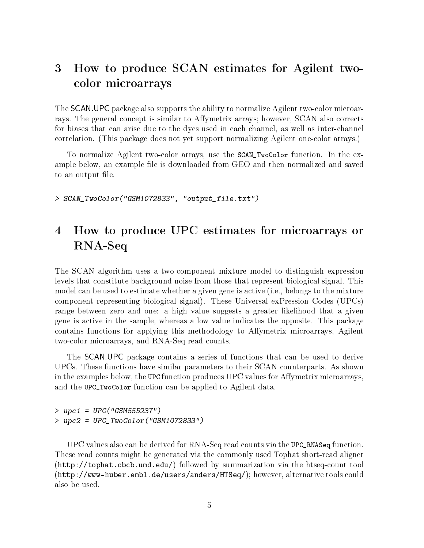## <span id="page-4-0"></span>3 How to produce SCAN estimates for Agilent twocolor microarrays

The SCAN.UPC package also supports the ability to normalize Agilent two-color microarrays. The general concept is similar to Affymetrix arrays; however, SCAN also corrects for biases that can arise due to the dyes used in each channel, as well as inter-channel correlation. (This package does not yet support normalizing Agilent one-color arrays.)

To normalize Agilent two-color arrays, use the SCAN\_TwoColor function. In the example below, an example file is downloaded from GEO and then normalized and saved to an output file.

> SCAN\_TwoColor("GSM1072833", "output\_file.txt")

## <span id="page-4-1"></span>4 How to produce UPC estimates for microarrays or RNA-Seq

The SCAN algorithm uses a two-component mixture model to distinguish expression levels that constitute background noise from those that represent biological signal. This model can be used to estimate whether a given gene is active (i.e., belongs to the mixture component representing biological signal). These Universal exPression Codes (UPCs) range between zero and one: a high value suggests a greater likelihood that a given gene is active in the sample, whereas a low value indicates the opposite. This package contains functions for applying this methodology to Affymetrix microarrays, Agilent two-color microarrays, and RNA-Seq read counts.

The SCAN.UPC package contains a series of functions that can be used to derive UPCs. These functions have similar parameters to their SCAN counterparts. As shown in the examples below, the UPC function produces UPC values for Affymetrix microarrays, and the UPC\_TwoColor function can be applied to Agilent data.

> upc1 = UPC("GSM555237") > upc2 = UPC\_TwoColor("GSM1072833")

UPC values also can be derived for RNA-Seq read counts via the UPC\_RNASeq function. These read counts might be generated via the commonly used Tophat short-read aligner [\(http://tophat.cbcb.umd.edu/\)](http://tophat.cbcb.umd.edu/) followed by summarization via the htseq-count tool [\(http://www-huber.embl.de/users/anders/HTSeq/\)](http://www-huber.embl.de/users/anders/HTSeq/); however, alternative tools could also be used.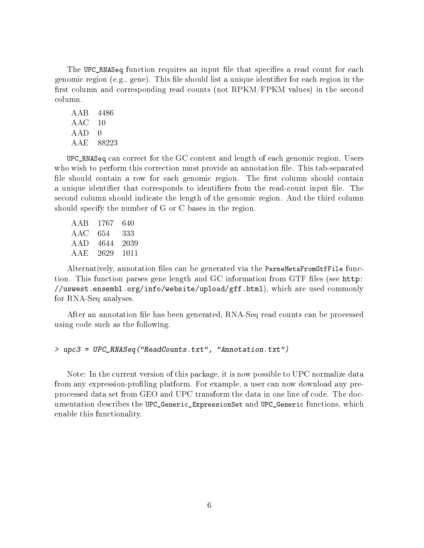The UPC\_RNASeq function requires an input file that specifies a read count for each genomic region (e.g., gene). This file should list a unique identifier for each region in the first column and corresponding read counts (not  $RPKM/FPKM$  values) in the second column.

AAB 4486 AAC 10 AAD 0 AAE 88223

UPC\_RNASeq can correct for the GC content and length of each genomic region. Users who wish to perform this correction must provide an annotation file. This tab-separated file should contain a row for each genomic region. The first column should contain a unique identifier that corresponds to identifiers from the read-count input file. The second column should indicate the length of the genomic region. And the third column should specify the number of G or C bases in the region.

| AAB   | 1767 | 640  |
|-------|------|------|
| A A C | 654  | 333  |
| A A D | 4644 | 2039 |
| AAE   | 2629 | 1011 |

Alternatively, annotation files can be generated via the ParseMetaFromGtfFile function. This function parses gene length and GC information from GTF files (see [http:](http://uswest.ensembl.org/info/website/upload/gff.html) [//uswest.ensembl.org/info/website/upload/gff.html\)](http://uswest.ensembl.org/info/website/upload/gff.html), which are used commonly for RNA-Seq analyses.

After an annotation file has been generated, RNA-Seq read counts can be processed using code such as the following.

> upc3 = UPC\_RNASeq("ReadCounts.txt", "Annotation.txt")

Note: In the current version of this package, it is now possible to UPC normalize data from any expression-profiling platform. For example, a user can now download any preprocessed data set from GEO and UPC transform the data in one line of code. The documentation describes the UPC\_Generic\_ExpressionSet and UPC\_Generic functions, which enable this functionality.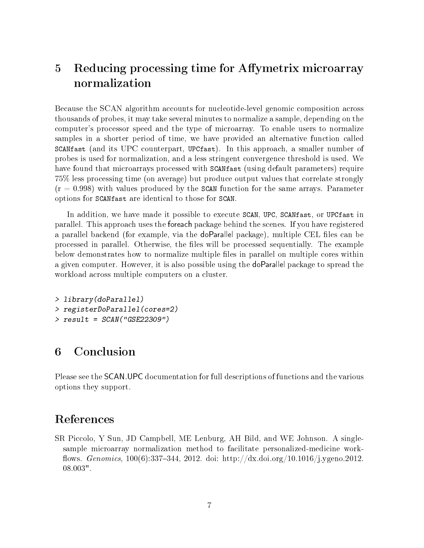## <span id="page-6-0"></span>5 Reducing processing time for Affymetrix microarray normalization

Because the SCAN algorithm accounts for nucleotide-level genomic composition across thousands of probes, it may take several minutes to normalize a sample, depending on the computer's processor speed and the type of microarray. To enable users to normalize samples in a shorter period of time, we have provided an alternative function called SCANfast (and its UPC counterpart, UPCfast). In this approach, a smaller number of probes is used for normalization, and a less stringent convergence threshold is used. We have found that microarrays processed with SCAN fast (using default parameters) require 75% less processing time (on average) but produce output values that correlate strongly  $(r = 0.998)$  with values produced by the SCAN function for the same arrays. Parameter options for SCANfast are identical to those for SCAN.

In addition, we have made it possible to execute SCAN, UPC, SCANfast, or UPCfast in parallel. This approach uses the foreach package behind the scenes. If you have registered a parallel backend (for example, via the doParallel package), multiple CEL files can be processed in parallel. Otherwise, the files will be processed sequentially. The example below demonstrates how to normalize multiple files in parallel on multiple cores within a given computer. However, it is also possible using the doParallel package to spread the workload across multiple computers on a cluster.

```
> library(doParallel)
> registerDoParallel(cores=2)
> result = SCAN("GSE22309")
```
### <span id="page-6-1"></span>6 Conclusion

Please see the SCAN.UPC documentation for full descriptions of functions and the various options they support.

### References

<span id="page-6-2"></span>SR Piccolo, Y Sun, JD Campbell, ME Lenburg, AH Bild, and WE Johnson. A singlesample microarray normalization method to facilitate personalized-medicine work flows. *Genomics*,  $100(6)$ :337-344, 2012. doi: http://dx.doi.org/10.1016/j.ygeno.2012. 08.003".